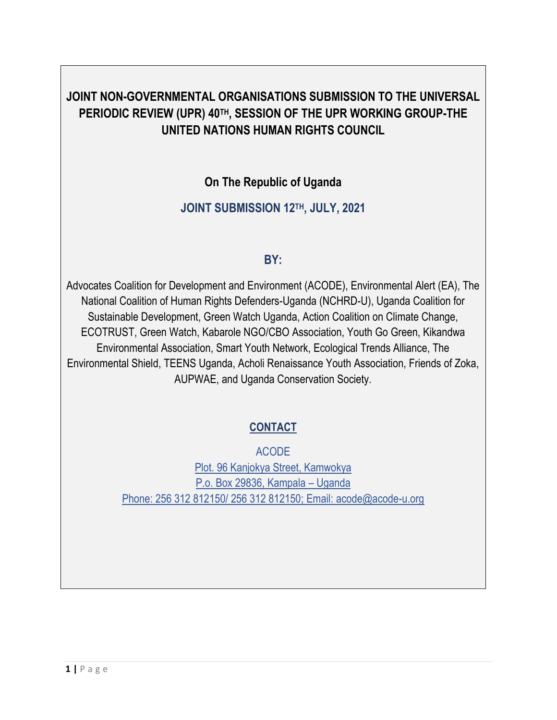# **JOINT NON-GOVERNMENTAL ORGANISATIONS SUBMISSION TO THE UNIVERSAL PERIODIC REVIEW (UPR) 40TH, SESSION OF THE UPR WORKING GROUP-THE UNITED NATIONS HUMAN RIGHTS COUNCIL**

## **On The Republic of Uganda**

## **JOINT SUBMISSION 12 TH, JULY, 2021**

### **BY:**

Advocates Coalition for Development and Environment (ACODE), Environmental Alert (EA), The National Coalition of Human Rights Defenders-Uganda (NCHRD-U), Uganda Coalition for Sustainable Development, Green Watch Uganda, Action Coalition on Climate Change, ECOTRUST, Green Watch, Kabarole NGO/CBO Association, Youth Go Green, Kikandwa Environmental Association, Smart Youth Network, Ecological Trends Alliance, The Environmental Shield, TEENS Uganda, Acholi Renaissance Youth Association, Friends of Zoka, AUPWAE, and Uganda Conservation Society.

# **CONTACT**

ACODE Plot. 96 Kanjokya Street, Kamwokya P.o. Box 29836, Kampala – Uganda Phone: 256 312 812150/ 256 312 812150; Email: acode@acode-u.org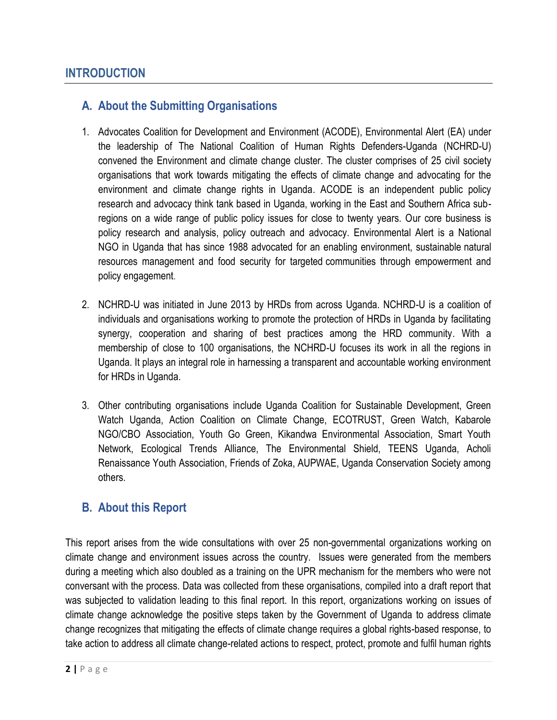### **A. About the Submitting Organisations**

- 1. Advocates Coalition for Development and Environment (ACODE), Environmental Alert (EA) under the leadership of The National Coalition of Human Rights Defenders-Uganda (NCHRD-U) convened the Environment and climate change cluster. The cluster comprises of 25 civil society organisations that work towards mitigating the effects of climate change and advocating for the environment and climate change rights in Uganda. ACODE is an independent public policy research and advocacy think tank based in Uganda, working in the East and Southern Africa subregions on a wide range of public policy issues for close to twenty years. Our core business is policy research and analysis, policy outreach and advocacy. Environmental Alert is a National NGO in Uganda that has since 1988 advocated for an enabling environment, sustainable natural resources management and food security for targeted communities through empowerment and policy engagement.
- 2. NCHRD-U was initiated in June 2013 by HRDs from across Uganda. NCHRD-U is a coalition of individuals and organisations working to promote the protection of HRDs in Uganda by facilitating synergy, cooperation and sharing of best practices among the HRD community. With a membership of close to 100 organisations, the NCHRD-U focuses its work in all the regions in Uganda. It plays an integral role in harnessing a transparent and accountable working environment for HRDs in Uganda.
- 3. Other contributing organisations include Uganda Coalition for Sustainable Development, Green Watch Uganda, Action Coalition on Climate Change, ECOTRUST, Green Watch, Kabarole NGO/CBO Association, Youth Go Green, Kikandwa Environmental Association, Smart Youth Network, Ecological Trends Alliance, The Environmental Shield, TEENS Uganda, Acholi Renaissance Youth Association, Friends of Zoka, AUPWAE, Uganda Conservation Society among others.

#### **B. About this Report**

This report arises from the wide consultations with over 25 non-governmental organizations working on climate change and environment issues across the country. Issues were generated from the members during a meeting which also doubled as a training on the UPR mechanism for the members who were not conversant with the process. Data was collected from these organisations, compiled into a draft report that was subjected to validation leading to this final report. In this report, organizations working on issues of climate change acknowledge the positive steps taken by the Government of Uganda to address climate change recognizes that mitigating the effects of climate change requires a global rights-based response, to take action to address all climate change-related actions to respect, protect, promote and fulfil human rights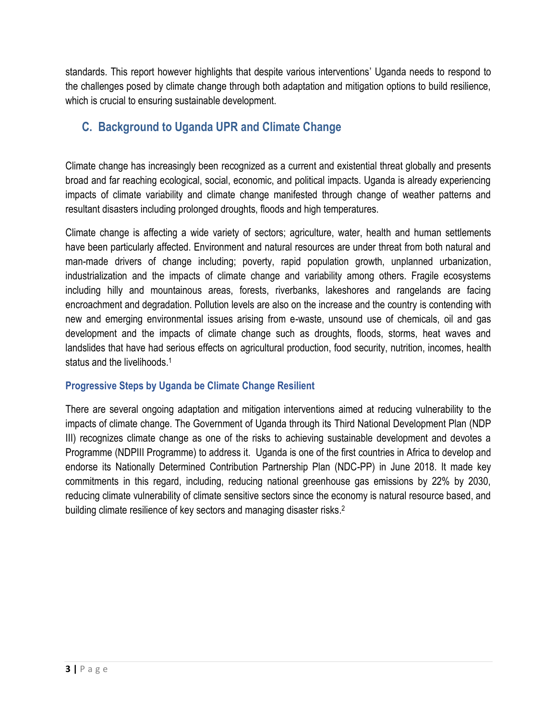standards. This report however highlights that despite various interventions' Uganda needs to respond to the challenges posed by climate change through both adaptation and mitigation options to build resilience, which is crucial to ensuring sustainable development.

# **C. Background to Uganda UPR and Climate Change**

Climate change has increasingly been recognized as a current and existential threat globally and presents broad and far reaching ecological, social, economic, and political impacts. Uganda is already experiencing impacts of climate variability and climate change manifested through change of weather patterns and resultant disasters including prolonged droughts, floods and high temperatures.

Climate change is affecting a wide variety of sectors; agriculture, water, health and human settlements have been particularly affected. Environment and natural resources are under threat from both natural and man-made drivers of change including; poverty, rapid population growth, unplanned urbanization, industrialization and the impacts of climate change and variability among others. Fragile ecosystems including hilly and mountainous areas, forests, riverbanks, lakeshores and rangelands are facing encroachment and degradation. Pollution levels are also on the increase and the country is contending with new and emerging environmental issues arising from e-waste, unsound use of chemicals, oil and gas development and the impacts of climate change such as droughts, floods, storms, heat waves and landslides that have had serious effects on agricultural production, food security, nutrition, incomes, health status and the livelihoods.<sup>1</sup>

#### **Progressive Steps by Uganda be Climate Change Resilient**

There are several ongoing adaptation and mitigation interventions aimed at reducing vulnerability to the impacts of climate change. The Government of Uganda through its Third National Development Plan (NDP III) recognizes climate change as one of the risks to achieving sustainable development and devotes a Programme (NDPIII Programme) to address it. Uganda is one of the first countries in Africa to develop and endorse its Nationally Determined Contribution Partnership Plan (NDC-PP) in June 2018. It made key commitments in this regard, including, reducing national greenhouse gas emissions by 22% by 2030, reducing climate vulnerability of climate sensitive sectors since the economy is natural resource based, and building climate resilience of key sectors and managing disaster risks.<sup>2</sup>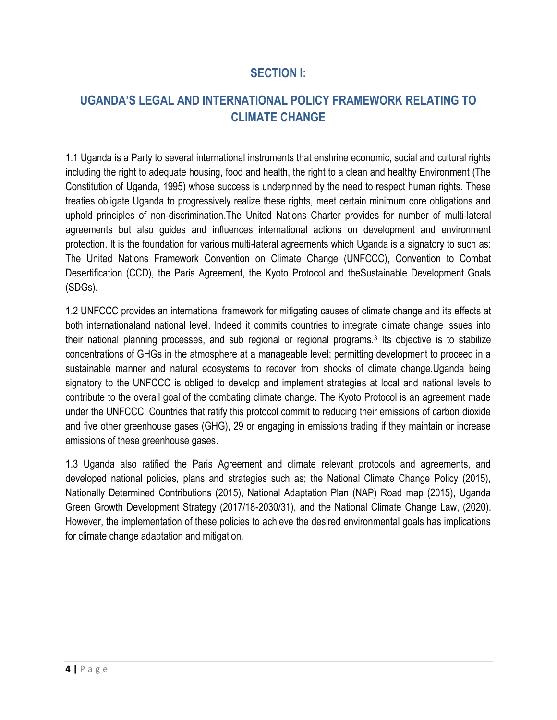### **SECTION I:**

# **UGANDA'S LEGAL AND INTERNATIONAL POLICY FRAMEWORK RELATING TO CLIMATE CHANGE**

1.1 Uganda is a Party to several international instruments that enshrine economic, social and cultural rights including the right to adequate housing, food and health, the right to a clean and healthy Environment (The Constitution of Uganda, 1995) whose success is underpinned by the need to respect human rights. These treaties obligate Uganda to progressively realize these rights, meet certain minimum core obligations and uphold principles of non-discrimination.The United Nations Charter provides for number of multi-lateral agreements but also guides and influences international actions on development and environment protection. It is the foundation for various multi-lateral agreements which Uganda is a signatory to such as: The United Nations Framework Convention on Climate Change (UNFCCC), Convention to Combat Desertification (CCD), the Paris Agreement, the Kyoto Protocol and theSustainable Development Goals (SDGs).

1.2 UNFCCC provides an international framework for mitigating causes of climate change and its effects at both internationaland national level. Indeed it commits countries to integrate climate change issues into their national planning processes, and sub regional or regional programs.<sup>3</sup> Its objective is to stabilize concentrations of GHGs in the atmosphere at a manageable level; permitting development to proceed in a sustainable manner and natural ecosystems to recover from shocks of climate change.Uganda being signatory to the UNFCCC is obliged to develop and implement strategies at local and national levels to contribute to the overall goal of the combating climate change. The Kyoto Protocol is an agreement made under the UNFCCC. Countries that ratify this protocol commit to reducing their emissions of carbon dioxide and five other greenhouse gases (GHG), 29 or engaging in emissions trading if they maintain or increase emissions of these greenhouse gases.

1.3 Uganda also ratified the Paris Agreement and climate relevant protocols and agreements, and developed national policies, plans and strategies such as; the National Climate Change Policy (2015), Nationally Determined Contributions (2015), National Adaptation Plan (NAP) Road map (2015), Uganda Green Growth Development Strategy (2017/18-2030/31), and the National Climate Change Law, (2020). However, the implementation of these policies to achieve the desired environmental goals has implications for climate change adaptation and mitigation.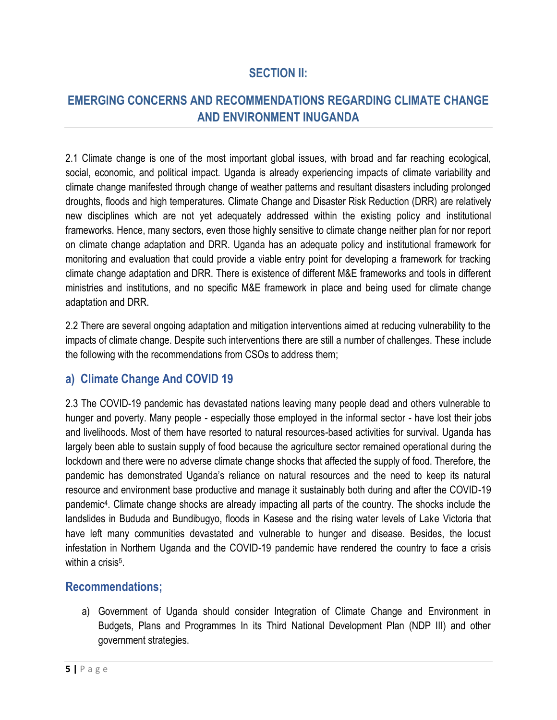### **SECTION II:**

# **EMERGING CONCERNS AND RECOMMENDATIONS REGARDING CLIMATE CHANGE AND ENVIRONMENT INUGANDA**

2.1 Climate change is one of the most important global issues, with broad and far reaching ecological, social, economic, and political impact. Uganda is already experiencing impacts of climate variability and climate change manifested through change of weather patterns and resultant disasters including prolonged droughts, floods and high temperatures. Climate Change and Disaster Risk Reduction (DRR) are relatively new disciplines which are not yet adequately addressed within the existing policy and institutional frameworks. Hence, many sectors, even those highly sensitive to climate change neither plan for nor report on climate change adaptation and DRR. Uganda has an adequate policy and institutional framework for monitoring and evaluation that could provide a viable entry point for developing a framework for tracking climate change adaptation and DRR. There is existence of different M&E frameworks and tools in different ministries and institutions, and no specific M&E framework in place and being used for climate change adaptation and DRR.

2.2 There are several ongoing adaptation and mitigation interventions aimed at reducing vulnerability to the impacts of climate change. Despite such interventions there are still a number of challenges. These include the following with the recommendations from CSOs to address them;

### **a) Climate Change And COVID 19**

2.3 The COVID-19 pandemic has devastated nations leaving many people dead and others vulnerable to hunger and poverty. Many people - especially those employed in the informal sector - have lost their jobs and livelihoods. Most of them have resorted to natural resources-based activities for survival. Uganda has largely been able to sustain supply of food because the agriculture sector remained operational during the lockdown and there were no adverse climate change shocks that affected the supply of food. Therefore, the pandemic has demonstrated Uganda's reliance on natural resources and the need to keep its natural resource and environment base productive and manage it sustainably both during and after the COVID-19 pandemic<sup>4</sup>. Climate change shocks are already impacting all parts of the country. The shocks include the landslides in Bududa and Bundibugyo, floods in Kasese and the rising water levels of Lake Victoria that have left many communities devastated and vulnerable to hunger and disease. Besides, the locust infestation in Northern Uganda and the COVID-19 pandemic have rendered the country to face a crisis within a crisis<sup>5</sup>.

#### **Recommendations;**

a) Government of Uganda should consider Integration of Climate Change and Environment in Budgets, Plans and Programmes In its Third National Development Plan (NDP III) and other government strategies.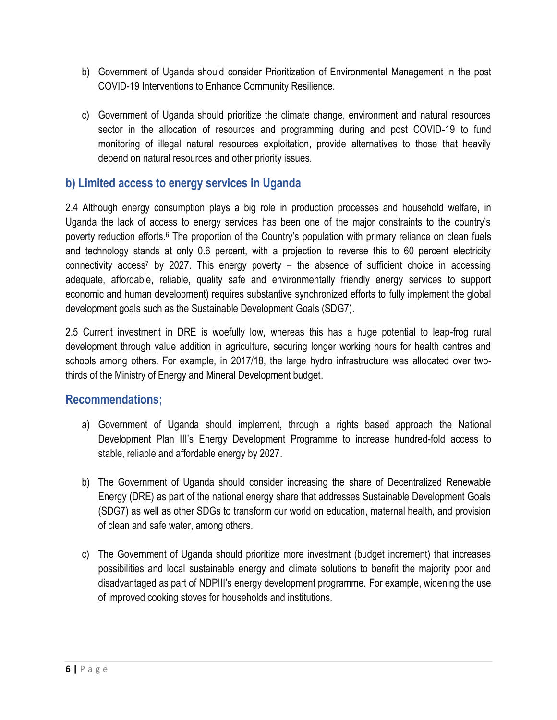- b) Government of Uganda should consider Prioritization of Environmental Management in the post COVID-19 Interventions to Enhance Community Resilience.
- c) Government of Uganda should prioritize the climate change, environment and natural resources sector in the allocation of resources and programming during and post COVID-19 to fund monitoring of illegal natural resources exploitation, provide alternatives to those that heavily depend on natural resources and other priority issues.

### **b) Limited access to energy services in Uganda**

2.4 Although energy consumption plays a big role in production processes and household welfare**,** in Uganda the lack of access to energy services has been one of the major constraints to the country's poverty reduction efforts.<sup>6</sup> The proportion of the Country's population with primary reliance on clean fuels and technology stands at only 0.6 percent, with a projection to reverse this to 60 percent electricity connectivity access<sup>7</sup> by 2027. This energy poverty – the absence of sufficient choice in accessing adequate, affordable, reliable, quality safe and environmentally friendly energy services to support economic and human development) requires substantive synchronized efforts to fully implement the global development goals such as the Sustainable Development Goals (SDG7).

2.5 Current investment in DRE is woefully low, whereas this has a huge potential to leap-frog rural development through value addition in agriculture, securing longer working hours for health centres and schools among others. For example, in 2017/18, the large hydro infrastructure was allocated over twothirds of the Ministry of Energy and Mineral Development budget.

- a) Government of Uganda should implement, through a rights based approach the National Development Plan III's Energy Development Programme to increase hundred-fold access to stable, reliable and affordable energy by 2027.
- b) The Government of Uganda should consider increasing the share of Decentralized Renewable Energy (DRE) as part of the national energy share that addresses Sustainable Development Goals (SDG7) as well as other SDGs to transform our world on education, maternal health, and provision of clean and safe water, among others.
- c) The Government of Uganda should prioritize more investment (budget increment) that increases possibilities and local sustainable energy and climate solutions to benefit the majority poor and disadvantaged as part of NDPIII's energy development programme. For example, widening the use of improved cooking stoves for households and institutions.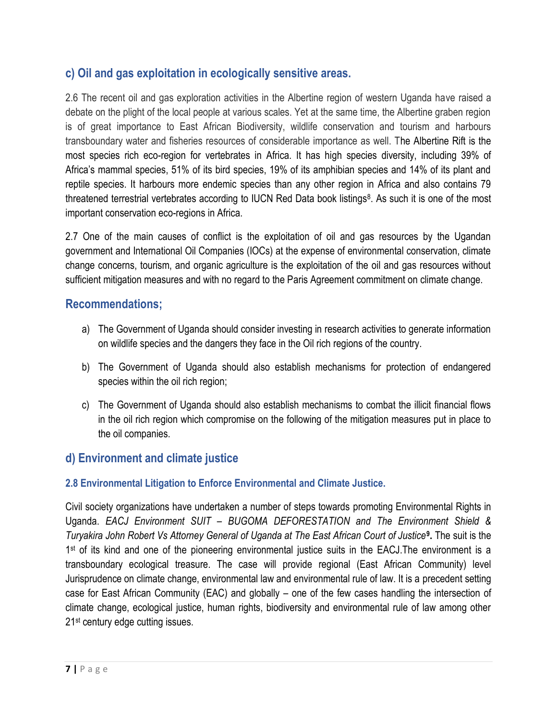### **c) Oil and gas exploitation in ecologically sensitive areas.**

2.6 The recent oil and gas exploration activities in the Albertine region of western Uganda have raised a debate on the plight of the local people at various scales. Yet at the same time, the Albertine graben region is of great importance to East African Biodiversity, wildlife conservation and tourism and harbours transboundary water and fisheries resources of considerable importance as well. The Albertine Rift is the most species rich eco-region for vertebrates in Africa. It has high species diversity, including 39% of Africa's mammal species, 51% of its bird species, 19% of its amphibian species and 14% of its plant and reptile species. It harbours more endemic species than any other region in Africa and also contains 79 threatened terrestrial vertebrates according to IUCN Red Data book listings<sup>8</sup>. As such it is one of the most important conservation eco-regions in Africa.

2.7 One of the main causes of conflict is the exploitation of oil and gas resources by the Ugandan government and International Oil Companies (IOCs) at the expense of environmental conservation, climate change concerns, tourism, and organic agriculture is the exploitation of the oil and gas resources without sufficient mitigation measures and with no regard to the Paris Agreement commitment on climate change.

#### **Recommendations;**

- a) The Government of Uganda should consider investing in research activities to generate information on wildlife species and the dangers they face in the Oil rich regions of the country.
- b) The Government of Uganda should also establish mechanisms for protection of endangered species within the oil rich region;
- c) The Government of Uganda should also establish mechanisms to combat the illicit financial flows in the oil rich region which compromise on the following of the mitigation measures put in place to the oil companies.

### **d) Environment and climate justice**

#### **2.8 Environmental Litigation to Enforce Environmental and Climate Justice.**

Civil society organizations have undertaken a number of steps towards promoting Environmental Rights in Uganda. *EACJ Environment SUIT – BUGOMA DEFORESTATION and The Environment Shield & Turyakira John Robert Vs Attorney General of Uganda at The East African Court of Justice***<sup>9</sup> .** The suit is the 1<sup>st</sup> of its kind and one of the pioneering environmental justice suits in the EACJ. The environment is a transboundary ecological treasure. The case will provide regional (East African Community) level Jurisprudence on climate change, environmental law and environmental rule of law. It is a precedent setting case for East African Community (EAC) and globally – one of the few cases handling the intersection of climate change, ecological justice, human rights, biodiversity and environmental rule of law among other 21st century edge cutting issues.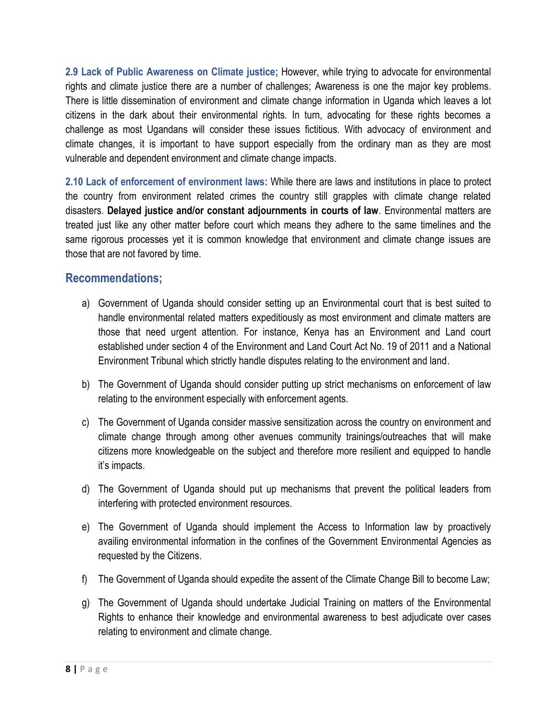**2.9 Lack of Public Awareness on Climate justice;** However, while trying to advocate for environmental rights and climate justice there are a number of challenges; Awareness is one the major key problems. There is little dissemination of environment and climate change information in Uganda which leaves a lot citizens in the dark about their environmental rights. In turn, advocating for these rights becomes a challenge as most Ugandans will consider these issues fictitious. With advocacy of environment and climate changes, it is important to have support especially from the ordinary man as they are most vulnerable and dependent environment and climate change impacts.

**2.10 Lack of enforcement of environment laws:** While there are laws and institutions in place to protect the country from environment related crimes the country still grapples with climate change related disasters. **Delayed justice and/or constant adjournments in courts of law**. Environmental matters are treated just like any other matter before court which means they adhere to the same timelines and the same rigorous processes yet it is common knowledge that environment and climate change issues are those that are not favored by time.

- a) Government of Uganda should consider setting up an Environmental court that is best suited to handle environmental related matters expeditiously as most environment and climate matters are those that need urgent attention. For instance, Kenya has an Environment and Land court established under section 4 of the Environment and Land Court Act No. 19 of 2011 and a National Environment Tribunal which strictly handle disputes relating to the environment and land.
- b) The Government of Uganda should consider putting up strict mechanisms on enforcement of law relating to the environment especially with enforcement agents.
- c) The Government of Uganda consider massive sensitization across the country on environment and climate change through among other avenues community trainings/outreaches that will make citizens more knowledgeable on the subject and therefore more resilient and equipped to handle it's impacts.
- d) The Government of Uganda should put up mechanisms that prevent the political leaders from interfering with protected environment resources.
- e) The Government of Uganda should implement the Access to Information law by proactively availing environmental information in the confines of the Government Environmental Agencies as requested by the Citizens.
- f) The Government of Uganda should expedite the assent of the Climate Change Bill to become Law;
- g) The Government of Uganda should undertake Judicial Training on matters of the Environmental Rights to enhance their knowledge and environmental awareness to best adjudicate over cases relating to environment and climate change.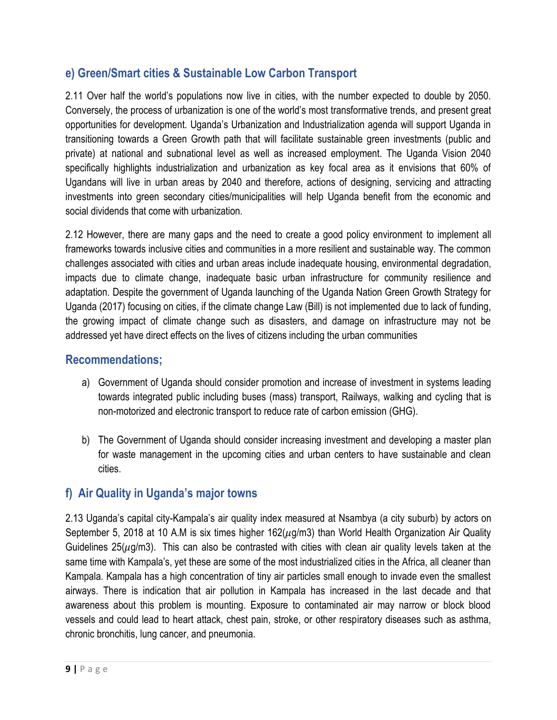### **e) Green/Smart cities & Sustainable Low Carbon Transport**

2.11 Over half the world's populations now live in cities, with the number expected to double by 2050. Conversely, the process of urbanization is one of the world's most transformative trends, and present great opportunities for development. Uganda's Urbanization and Industrialization agenda will support Uganda in transitioning towards a Green Growth path that will facilitate sustainable green investments (public and private) at national and subnational level as well as increased employment. The Uganda Vision 2040 specifically highlights industrialization and urbanization as key focal area as it envisions that 60% of Ugandans will live in urban areas by 2040 and therefore, actions of designing, servicing and attracting investments into green secondary cities/municipalities will help Uganda benefit from the economic and social dividends that come with urbanization.

2.12 However, there are many gaps and the need to create a good policy environment to implement all frameworks towards inclusive cities and communities in a more resilient and sustainable way. The common challenges associated with cities and urban areas include inadequate housing, environmental degradation, impacts due to climate change, inadequate basic urban infrastructure for community resilience and adaptation. Despite the government of Uganda launching of the Uganda Nation Green Growth Strategy for Uganda (2017) focusing on cities, if the climate change Law (Bill) is not implemented due to lack of funding, the growing impact of climate change such as disasters, and damage on infrastructure may not be addressed yet have direct effects on the lives of citizens including the urban communities

#### **Recommendations;**

- a) Government of Uganda should consider promotion and increase of investment in systems leading towards integrated public including buses (mass) transport, Railways, walking and cycling that is non-motorized and electronic transport to reduce rate of carbon emission (GHG).
- b) The Government of Uganda should consider increasing investment and developing a master plan for waste management in the upcoming cities and urban centers to have sustainable and clean cities.

### **f) Air Quality in Uganda's major towns**

2.13 Uganda's capital city-Kampala's air quality index measured at Nsambya (a city suburb) by actors on September 5, 2018 at 10 A.M is six times higher 162( $\mu$ g/m3) than World Health Organization Air Quality Guidelines 25( $\mu$ g/m3). This can also be contrasted with cities with clean air quality levels taken at the same time with Kampala's, yet these are some of the most industrialized cities in the Africa, all cleaner than Kampala. Kampala has a high concentration of tiny air particles small enough to invade even the smallest airways. There is indication that air pollution in Kampala has increased in the last decade and that awareness about this problem is mounting. Exposure to contaminated air may narrow or block blood vessels and could lead to heart attack, chest pain, stroke, or other respiratory diseases such as asthma, chronic bronchitis, lung cancer, and pneumonia.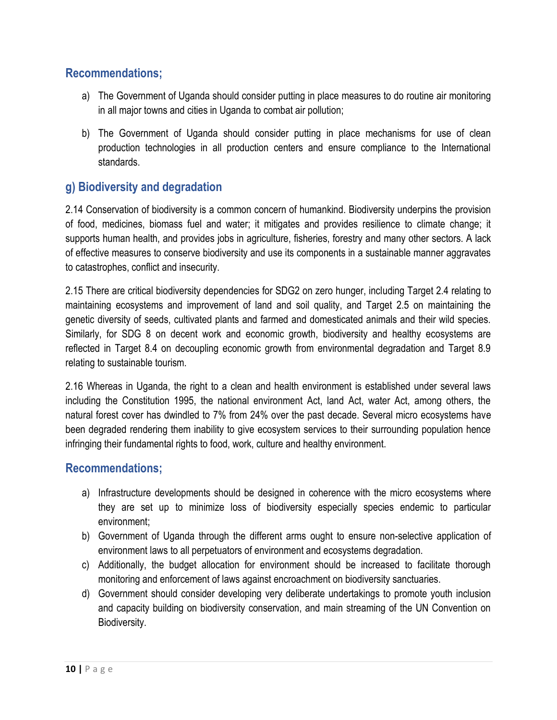#### **Recommendations;**

- a) The Government of Uganda should consider putting in place measures to do routine air monitoring in all major towns and cities in Uganda to combat air pollution;
- b) The Government of Uganda should consider putting in place mechanisms for use of clean production technologies in all production centers and ensure compliance to the International standards.

### **g) Biodiversity and degradation**

2.14 Conservation of biodiversity is a common concern of humankind. Biodiversity underpins the provision of food, medicines, biomass fuel and water; it mitigates and provides resilience to climate change; it supports human health, and provides jobs in agriculture, fisheries, forestry and many other sectors. A lack of effective measures to conserve biodiversity and use its components in a sustainable manner aggravates to catastrophes, conflict and insecurity.

2.15 There are critical biodiversity dependencies for SDG2 on zero hunger, including Target 2.4 relating to maintaining ecosystems and improvement of land and soil quality, and Target 2.5 on maintaining the genetic diversity of seeds, cultivated plants and farmed and domesticated animals and their wild species. Similarly, for SDG 8 on decent work and economic growth, biodiversity and healthy ecosystems are reflected in Target 8.4 on decoupling economic growth from environmental degradation and Target 8.9 relating to sustainable tourism.

2.16 Whereas in Uganda, the right to a clean and health environment is established under several laws including the Constitution 1995, the national environment Act, land Act, water Act, among others, the natural forest cover has dwindled to 7% from 24% over the past decade. Several micro ecosystems have been degraded rendering them inability to give ecosystem services to their surrounding population hence infringing their fundamental rights to food, work, culture and healthy environment.

- a) Infrastructure developments should be designed in coherence with the micro ecosystems where they are set up to minimize loss of biodiversity especially species endemic to particular environment;
- b) Government of Uganda through the different arms ought to ensure non-selective application of environment laws to all perpetuators of environment and ecosystems degradation.
- c) Additionally, the budget allocation for environment should be increased to facilitate thorough monitoring and enforcement of laws against encroachment on biodiversity sanctuaries.
- d) Government should consider developing very deliberate undertakings to promote youth inclusion and capacity building on biodiversity conservation, and main streaming of the UN Convention on Biodiversity.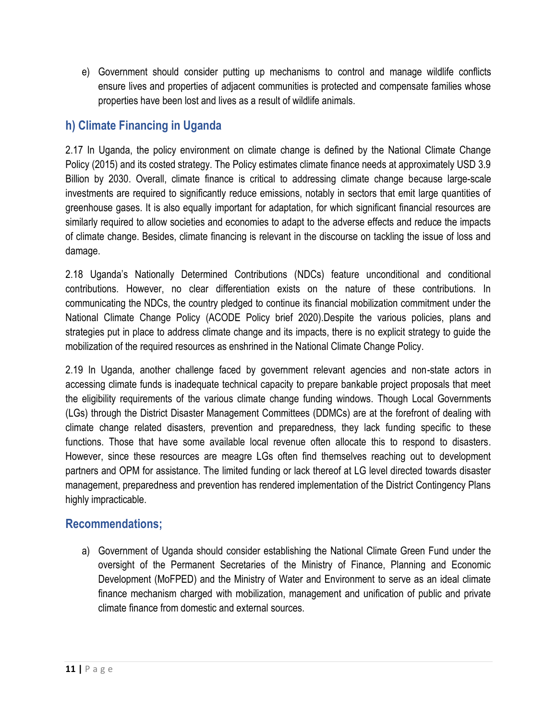e) Government should consider putting up mechanisms to control and manage wildlife conflicts ensure lives and properties of adjacent communities is protected and compensate families whose properties have been lost and lives as a result of wildlife animals.

### **h) Climate Financing in Uganda**

2.17 In Uganda, the policy environment on climate change is defined by the National Climate Change Policy (2015) and its costed strategy. The Policy estimates climate finance needs at approximately USD 3.9 Billion by 2030. Overall, climate finance is critical to addressing climate change because large-scale investments are required to significantly reduce emissions, notably in sectors that emit large quantities of greenhouse gases. It is also equally important for adaptation, for which significant financial resources are similarly required to allow societies and economies to adapt to the adverse effects and reduce the impacts of climate change. Besides, climate financing is relevant in the discourse on tackling the issue of loss and damage.

2.18 Uganda's Nationally Determined Contributions (NDCs) feature unconditional and conditional contributions. However, no clear differentiation exists on the nature of these contributions. In communicating the NDCs, the country pledged to continue its financial mobilization commitment under the National Climate Change Policy (ACODE Policy brief 2020).Despite the various policies, plans and strategies put in place to address climate change and its impacts, there is no explicit strategy to guide the mobilization of the required resources as enshrined in the National Climate Change Policy.

2.19 In Uganda, another challenge faced by government relevant agencies and non-state actors in accessing climate funds is inadequate technical capacity to prepare bankable project proposals that meet the eligibility requirements of the various climate change funding windows. Though Local Governments (LGs) through the District Disaster Management Committees (DDMCs) are at the forefront of dealing with climate change related disasters, prevention and preparedness, they lack funding specific to these functions. Those that have some available local revenue often allocate this to respond to disasters. However, since these resources are meagre LGs often find themselves reaching out to development partners and OPM for assistance. The limited funding or lack thereof at LG level directed towards disaster management, preparedness and prevention has rendered implementation of the District Contingency Plans highly impracticable.

#### **Recommendations;**

a) Government of Uganda should consider establishing the National Climate Green Fund under the oversight of the Permanent Secretaries of the Ministry of Finance, Planning and Economic Development (MoFPED) and the Ministry of Water and Environment to serve as an ideal climate finance mechanism charged with mobilization, management and unification of public and private climate finance from domestic and external sources.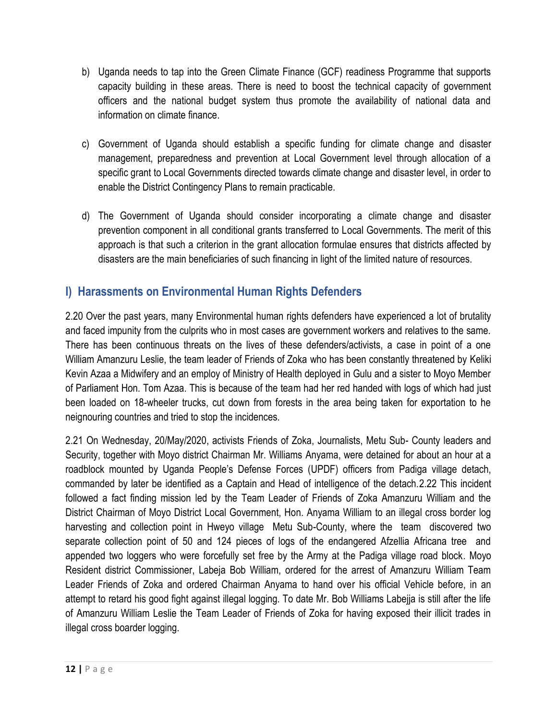- b) Uganda needs to tap into the Green Climate Finance (GCF) readiness Programme that supports capacity building in these areas. There is need to boost the technical capacity of government officers and the national budget system thus promote the availability of national data and information on climate finance.
- c) Government of Uganda should establish a specific funding for climate change and disaster management, preparedness and prevention at Local Government level through allocation of a specific grant to Local Governments directed towards climate change and disaster level, in order to enable the District Contingency Plans to remain practicable.
- d) The Government of Uganda should consider incorporating a climate change and disaster prevention component in all conditional grants transferred to Local Governments. The merit of this approach is that such a criterion in the grant allocation formulae ensures that districts affected by disasters are the main beneficiaries of such financing in light of the limited nature of resources.

# **I) Harassments on Environmental Human Rights Defenders**

2.20 Over the past years, many Environmental human rights defenders have experienced a lot of brutality and faced impunity from the culprits who in most cases are government workers and relatives to the same. There has been continuous threats on the lives of these defenders/activists, a case in point of a one William Amanzuru Leslie, the team leader of Friends of Zoka who has been constantly threatened by Keliki Kevin Azaa a Midwifery and an employ of Ministry of Health deployed in Gulu and a sister to Moyo Member of Parliament Hon. Tom Azaa. This is because of the team had her red handed with logs of which had just been loaded on 18-wheeler trucks, cut down from forests in the area being taken for exportation to he neignouring countries and tried to stop the incidences.

2.21 On Wednesday, 20/May/2020, activists Friends of Zoka, Journalists, Metu Sub- County leaders and Security, together with Moyo district Chairman Mr. Williams Anyama, were detained for about an hour at a roadblock mounted by Uganda People's Defense Forces (UPDF) officers from Padiga village detach, commanded by later be identified as a Captain and Head of intelligence of the detach.2.22 This incident followed a fact finding mission led by the Team Leader of Friends of Zoka Amanzuru William and the District Chairman of Moyo District Local Government, Hon. Anyama William to an illegal cross border log harvesting and collection point in Hweyo village Metu Sub-County, where the team discovered two separate collection point of 50 and 124 pieces of logs of the endangered Afzellia Africana tree and appended two loggers who were forcefully set free by the Army at the Padiga village road block. Moyo Resident district Commissioner, Labeja Bob William, ordered for the arrest of Amanzuru William Team Leader Friends of Zoka and ordered Chairman Anyama to hand over his official Vehicle before, in an attempt to retard his good fight against illegal logging. To date Mr. Bob Williams Labejja is still after the life of Amanzuru William Leslie the Team Leader of Friends of Zoka for having exposed their illicit trades in illegal cross boarder logging.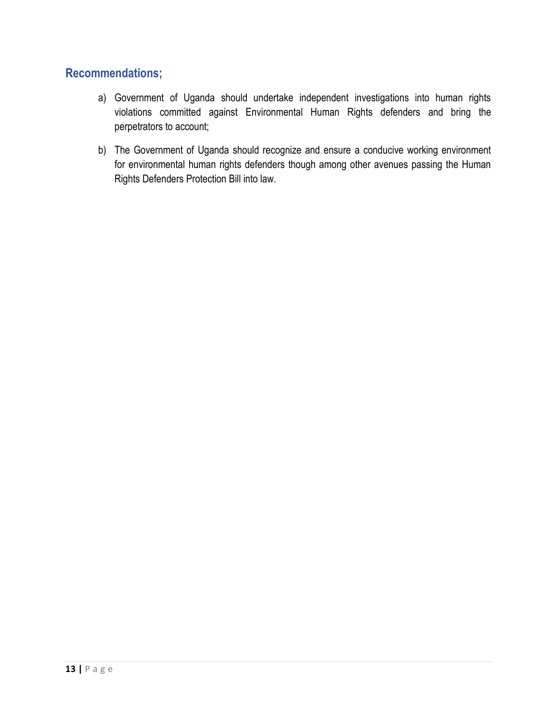- a) Government of Uganda should undertake independent investigations into human rights violations committed against Environmental Human Rights defenders and bring the perpetrators to account;
- b) The Government of Uganda should recognize and ensure a conducive working environment for environmental human rights defenders though among other avenues passing the Human Rights Defenders Protection Bill into law.